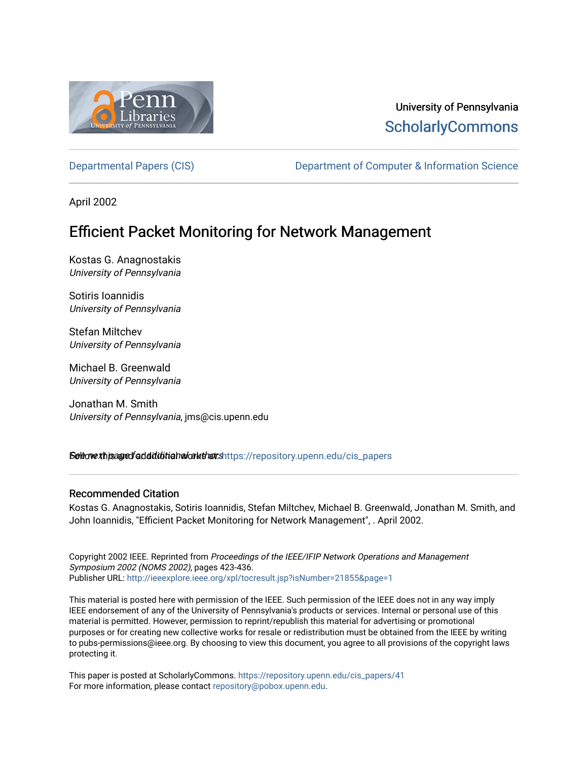

## University of Pennsylvania **ScholarlyCommons**

[Departmental Papers \(CIS\)](https://repository.upenn.edu/cis_papers) [Department of Computer & Information Science](https://repository.upenn.edu/cis) 

April 2002

# Efficient Packet Monitoring for Network Management

Kostas G. Anagnostakis University of Pennsylvania

Sotiris Ioannidis University of Pennsylvania

Stefan Miltchev University of Pennsylvania

Michael B. Greenwald University of Pennsylvania

Jonathan M. Smith University of Pennsylvania, jms@cis.upenn.edu

Setove this age dfadditional and and and and anti-the state page is continued and additional set of the set of

### Recommended Citation

Kostas G. Anagnostakis, Sotiris Ioannidis, Stefan Miltchev, Michael B. Greenwald, Jonathan M. Smith, and John Ioannidis, "Efficient Packet Monitoring for Network Management", . April 2002.

Copyright 2002 IEEE. Reprinted from Proceedings of the IEEE/IFIP Network Operations and Management Symposium 2002 (NOMS 2002), pages 423-436. Publisher URL:<http://ieeexplore.ieee.org/xpl/tocresult.jsp?isNumber=21855&page=1>

This material is posted here with permission of the IEEE. Such permission of the IEEE does not in any way imply IEEE endorsement of any of the University of Pennsylvania's products or services. Internal or personal use of this material is permitted. However, permission to reprint/republish this material for advertising or promotional purposes or for creating new collective works for resale or redistribution must be obtained from the IEEE by writing to pubs-permissions@ieee.org. By choosing to view this document, you agree to all provisions of the copyright laws protecting it.

This paper is posted at ScholarlyCommons. [https://repository.upenn.edu/cis\\_papers/41](https://repository.upenn.edu/cis_papers/41)  For more information, please contact [repository@pobox.upenn.edu.](mailto:repository@pobox.upenn.edu)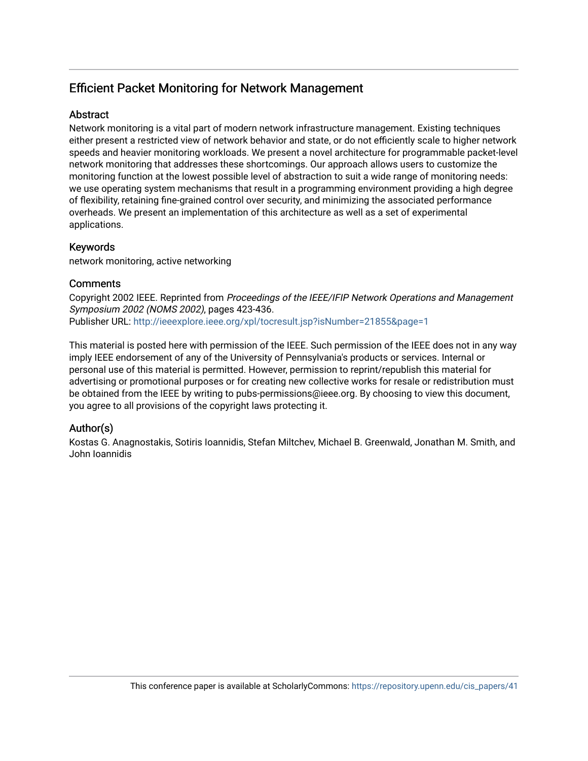## Efficient Packet Monitoring for Network Management

### **Abstract**

Network monitoring is a vital part of modern network infrastructure management. Existing techniques either present a restricted view of network behavior and state, or do not efficiently scale to higher network speeds and heavier monitoring workloads. We present a novel architecture for programmable packet-level network monitoring that addresses these shortcomings. Our approach allows users to customize the monitoring function at the lowest possible level of abstraction to suit a wide range of monitoring needs: we use operating system mechanisms that result in a programming environment providing a high degree of flexibility, retaining fine-grained control over security, and minimizing the associated performance overheads. We present an implementation of this architecture as well as a set of experimental applications.

## Keywords

network monitoring, active networking

## **Comments**

Copyright 2002 IEEE. Reprinted from Proceedings of the IEEE/IFIP Network Operations and Management Symposium 2002 (NOMS 2002), pages 423-436. Publisher URL: <http://ieeexplore.ieee.org/xpl/tocresult.jsp?isNumber=21855&page=1>

This material is posted here with permission of the IEEE. Such permission of the IEEE does not in any way imply IEEE endorsement of any of the University of Pennsylvania's products or services. Internal or personal use of this material is permitted. However, permission to reprint/republish this material for advertising or promotional purposes or for creating new collective works for resale or redistribution must be obtained from the IEEE by writing to pubs-permissions@ieee.org. By choosing to view this document, you agree to all provisions of the copyright laws protecting it.

## Author(s)

Kostas G. Anagnostakis, Sotiris Ioannidis, Stefan Miltchev, Michael B. Greenwald, Jonathan M. Smith, and John Ioannidis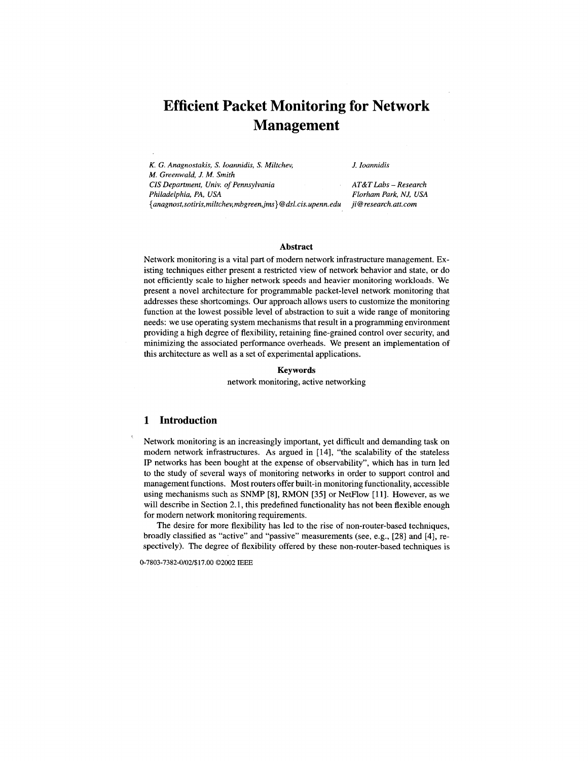# **Efficient Packet Monitoring for Network Management**

*K. G. Anagnostakis, S. Ioannidis, S. Miltchev, M. Greenwald, J. M. Smith CIS Department, Univ. of Pennsylvania Philadelphia, PA, USA [\(anagnost,sotiris,miltchev,mbgreen,jms\)@dsl.cis.upenn.ed](mailto:anagnost,sotiris,miltchev,mbgreen,jms)@dsl.cis.upenn.edu)u [ji@research.att.com](mailto:ji@research.att.com)* 

*AT&T Labs* - *Research Florham Park, NJ, USA* 

*J. Ioannidis* 

#### **Abstract**

Network monitoring is a vital part of modern network infrastructure management. Existing techniques either present a restricted view of network behavior and state, or do not efficiently scale to higher network speeds and heavier monitoring workloads. **We**  present a novel architecture for programmable packet-level network monitoring that addresses these shortcomings. Our approach allows users to customize the monitoring function at the lowest possible level of abstraction to suit a wide range of monitoring needs: we use operating system mechanisms that result in a programming environment providing a high degree of flexibility, retaining fine-grained control over security, and minimizing the associated performance overheads. We present an implementation of this architecture as well as a set of experimental applications.

#### **Keywords**

network monitoring, active networking

#### **1 Introduction**

'

Network monitoring is an increasingly important, yet difficult and demanding task on modem network infrastructures. **As** argued in [14], "the scalability of the stateless **IP** networks has been bought at the expense of observability", which has in turn led to the study of several ways of monitoring networks in order to support control and management functions. Most routers offer built-in monitoring functionality, accessible using mechanisms such as SNMP [8], RMON [35] or NetFlow [11]. However, as we will describe in Section 2.1, this predefined functionality has not been flexible enough for modem network monitoring requirements.

The desire for more flexibility has led to the rise of non-router-based techniques, broadly classified as "active" and "passive" measurements (see, e.g., [28] and [4], respectively). The degree of flexibility offered by these non-router-based techniques is

0-7803-7382-0/02/\$17.00 02002 **JEEE**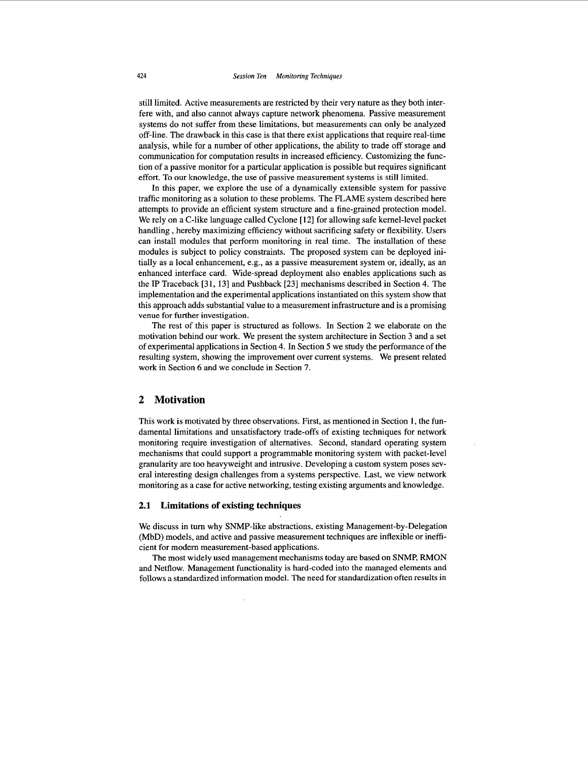still limited. Active measurements are restricted by their very nature **as** they both interfere with, and also cannot always capture network phenomena. Passive measurement systems do not suffer from these limitations, but measurements can only be analyzed off-line. The drawback in this case is that there exist applications that require real-time analysis, while for a number of other applications, the ability to trade off storage and communication for computation results in increased efficiency. Customizing the function of a passive monitor for a particular application is possible but requires significant effort. To our knowledge, the use of passive measurement systems is still limited.

In this paper, we explore the use of a dynamically extensible system for passive traffic monitoring as a solution to these problems. The **FLAME** system described here attempts to provide an efficient system structure and a fine-grained protection model. We rely on a C-like language called Cyclone **[12]** for allowing safe kernel-level packet handling , hereby maximizing efficiency without sacrificing safety or flexibility. Users can install modules that perform monitoring in real time. The installation of these modules is subject to policy constraints. The proposed system can be deployed initially as a local enhancement, e.g., as a passive measurement system or, ideally, as an enhanced interface card. Wide-spread deployment also enables applications such as the **IP** Traceback **[31,** 131 and Pushback [23] mechanisms described in Section 4. The implementation and the experimental applications instantiated on this system show that this approach adds substantial value to a measurement infrastructure and is a promising venue **for** further investigation.

The rest of this paper is structured as follows. In Section 2 we elaborate on the motivation behind our work. We present the system architecture in Section **3** and a set **of** experimental applications in Section 4. In Section *5* we study the performance of the resulting system, showing the improvement over current systems. We present related work in Section **6** and we conclude in Section 7.

#### **2 Motivation**

This work is motivated by three observations. First, as mentioned in Section **1,** the fundamental limitations and unsatisfactory trade-offs of existing techniques for network monitoring require investigation of alternatives. Second, standard operating system mechanisms that could support a programmable monitoring system with packet-level granularity are too heavyweight and intrusive. Developing a custom system poses several interesting design challenges from a systems perspective. Last, we view network monitoring as a case for active networking, testing existing arguments and knowledge.

#### **2.1 Limitations of existing techniques**

We discuss in turn why SNMP-like abstractions, existing Management-by-Delegation (MbD) models, and active and passive measurement techniques are inflexible or inefficient for modem measurement-based applications.

The most widely used management mechanisms today are based on **SNMP,** WON and Netflow. Management functionality is hard-coded into the managed elements **and**  follows a standardized information model. The need for standardization often results in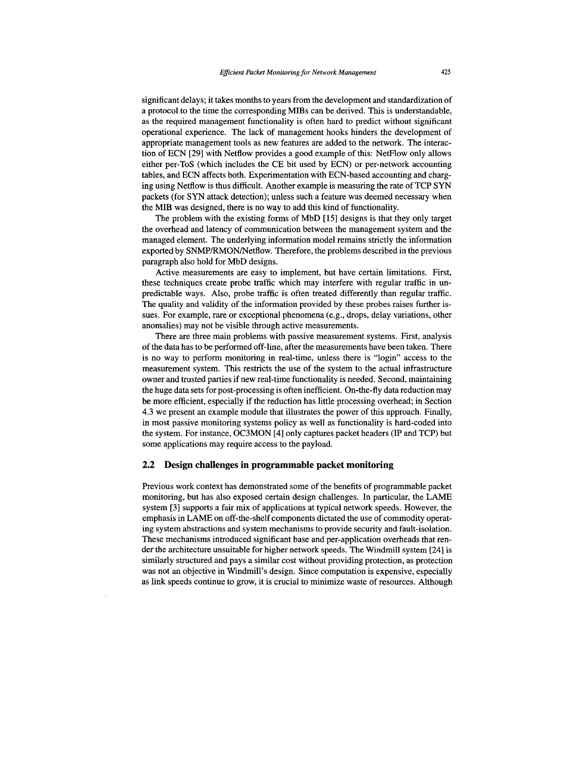significant delays; it takes months to years from the development and standardization of a protocol to the time the corresponding MIBs can be derived. This is understandable, as the required management functionality is often hard to predict without significant operational experience. The lack of management hooks hinders the development of appropriate management tools as new features are added to the network. The interaction of ECN [29] with Netflow provides a good example of this: NetFlow only allows either per-ToS (which includes the CE bit used by ECN) or per-network accounting tables, and ECN affects both. Experimentation with ECN-based accounting and charging using Netflow is thus difficult. Another example is measuring the rate of TCP SYN packets (for SYN attack detection); unless such a feature was deemed necessary when the MIB was designed, there is no way to add this kind of functionality.

The problem with the existing forms of MbD [15] designs is that they only target the overhead and latency of communication between the management system and the managed element. The underlying information model remains strictly the information exported by SNMP/RMON/Netflow. Therefore, the problems described in the previous paragraph also hold for MbD designs.

Active measurements are easy to implement, but have certain limitations. First, these techniques create probe traffic which may interfere with regular traffic in unpredictable ways. Also, probe traffic is often treated differently than regular traffic. The quality and validity of the information provided by these probes raises further issues. For example, rare or exceptional phenomena (e.g., drops, delay variations, other anomalies) may not be visible through active measurements.

There are three main problems with passive measurement systems. First, analysis of the data has to be performed off-line, after the measurements have been taken. There is no way to perform monitoring in real-time, unless there is "login" access to the measurement system. This restricts the use of the system to the actual infrastructure owner and trusted parties if new real-time functionality is needed. Second, maintaining the huge data sets for post-processing is often inefficient. On-the-fly data reduction may **be** more efficient, especially if the reduction has little processing overhead; in Section 4.3 we present an example module that illustrates the power of this approach. Finally, in most passive monitoring systems policy as well as functionality is hard-coded into the system. For instance, OC3MON 141 only captures packet headers (IP and TCP) but some applications may require access to the payload.

#### **2.2 Design challenges in programmable packet monitoring**

Previous work context has demonstrated some of the benefits of programmable packet monitoring, but has also exposed certain design challenges. In particular, the LAME system [3] supports a fair mix of applications at typical network speeds. However, the emphasis in LAME on off-the-shelf components dictated the use of commodity operating system abstractions and system mechanisms to provide security and fault-isolation. These mechanisms introduced significant base and per-application overheads that render the architecture unsuitable for higher network speeds. The Windmill system [24] is similarly structured and pays a similar cost without providing protection, as protection was not an objective in Windmill's design. Since computation is expensive, especially as link speeds continue to grow, it is crucial to minimize waste of resources. Although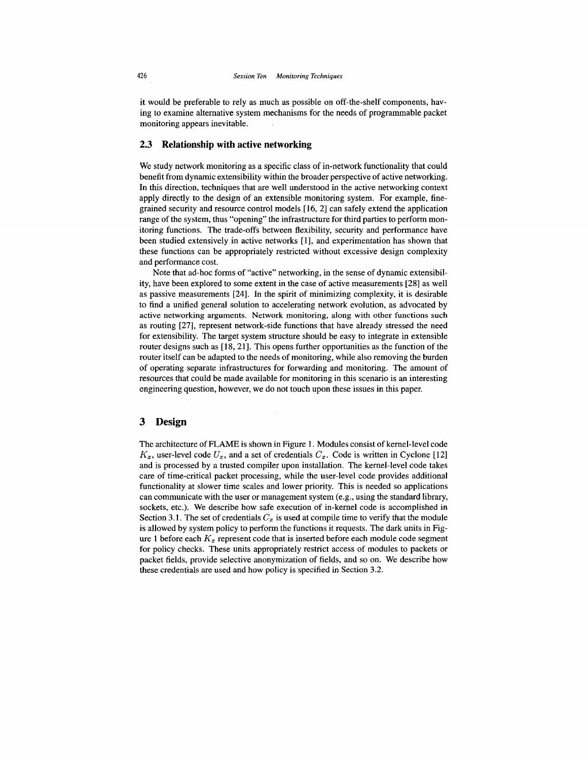it would be preferable to rely as much as possible on off-the-shelf components, having to examine alternative system mechanisms for the needs of programmable packet monitoring appears inevitable.

#### **2.3 Relationship with active networking**

We study network monitoring as a specific class of in-network functionality that could benefit from dynamic extensibility within the broader perspective of active networking. In this direction, techniques that are well understood in the active networking context apply directly to the design of an extensible monitoring system. For example, finegrained security and resource control models [ 16, 21 can safely extend the application range of the system, thus "opening" the infrastructure for third parties to perform monitoring functions. The trade-offs between flexibility, security and performance have been studied extensively in active networks [1], and experimentation has shown that these functions can be appropriately restricted without excessive design complexity and performance cost.

Note that ad-hoc forms of "active" networking, in the sense of dynamic extensibility, have been explored to some extent in the case of active measurements [28] as well as passive measurements [24]. In the spirit of minimizing complexity, it is desirable to find a unified general solution to accelerating network evolution, as advocated by active networking arguments. Network monitoring, along with other functions such as routing [27], represent network-side functions that have already stressed the need for extensibility. The target system structure should be easy to integrate in extensible router designs such as **[18,** 211. This opens further opportunities as the function of the router itself can be adapted to the needs of monitoring, while also removing the burden of operating separate infrastructures for forwarding and monitoring. The amount of resources that could be made available for monitoring in this scenario is an interesting engineering question, however, we do not touch upon these issues in this paper.

#### **3 Design**

The architecture of FLAME is shown in [Figure 1.](#page-6-0) Modules consist of kernel-level code  $K_x$ , user-level code  $U_x$ , and a set of credentials  $C_x$ . Code is written in Cyclone [12] and is processed by a trusted compiler upon installation. The kernel-level code takes care of time-critical packet processing, while the user-level code provides additional functionality at slower time scales and lower priority. This is needed so applications can communicate with the user or management system (e.g., using the standard library, sockets, etc.). We describe how safe execution of in-kernel code is accomplished in Section 3.1. The set of credentials  $C_x$  is used at compile time to verify that the module is allowed by system policy to perform the functions it requests. The dark units in Fig[ure 1](#page-6-0) before each  $K_x$  represent code that is inserted before each module code segment for policy checks. These units appropriately restrict access of modules to packets or packet fields, provide selective anonymization of fields, and so on. We describe how these credentials are used and how policy is specified in Section **3.2.**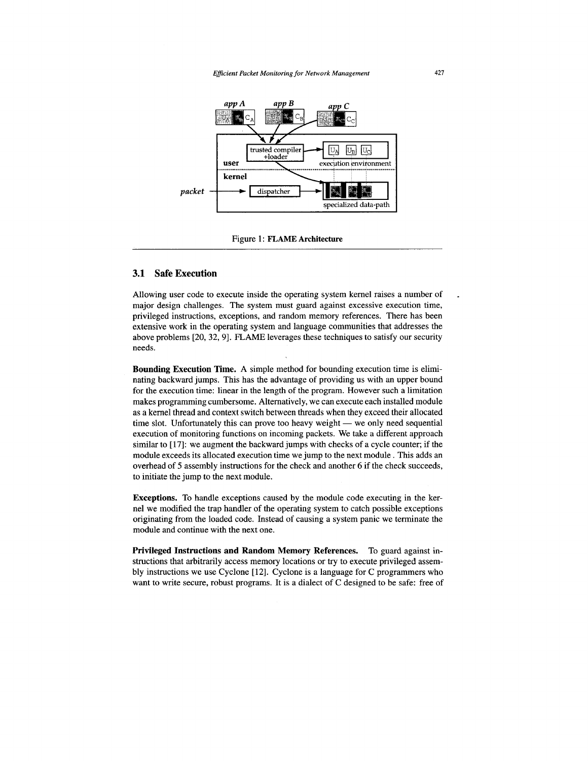<span id="page-6-0"></span>

Figure 1: **FLAME Architecture** 

#### **3.1 Safe Execution**

Allowing user code to execute inside the operating system kernel raises a number of major design challenges. The system must guard against excessive execution time, privileged instructions, exceptions, and random memory references. There has been extensive work in the operating system and language communities that addresses the above problems [20, 32, 91. **FLAME** leverages these techniques to satisfy our security needs.

**Bounding Execution Time. A** simple method for bounding execution time is eliminating backward jumps. This has the advantage of providing us with an upper bound for the execution time: linear in the length of the program. However such a limitation makes programming cumbersome. Alternatively, we can execute each installed module as a kernel thread and context switch between threads when they exceed their allocated makes programming cumbersome. Alternatively, we can execute each installed module<br>as a kernel thread and context switch between threads when they exceed their allocated<br>time slot. Unfortunately this can prove too heavy wei execution of monitoring functions on incoming packets. We take a different approach similar to [17]: we augment the backward jumps with checks of a cycle counter; if the module exceeds its allocated execution time we jump to the next module . This adds an overhead of 5 assembly instructions for the check and another **6** if the check succeeds, to initiate the jump to the next module.

**Exceptions.** To handle exceptions caused by the module code executing in the kernel we modified the trap handler of the operating system to catch possible exceptions originating from the loaded code. Instead of causing a system panic we terminate the module and continue with the next one.

**Privileged Instructions and Random Memory References.** To guard against instructions that arbitrarily access memory locations or try to execute privileged assembly instructions we use Cyclone [12]. Cyclone is a language for C programmers who want to write secure, robust programs. It is a dialect of C designed to be safe: free of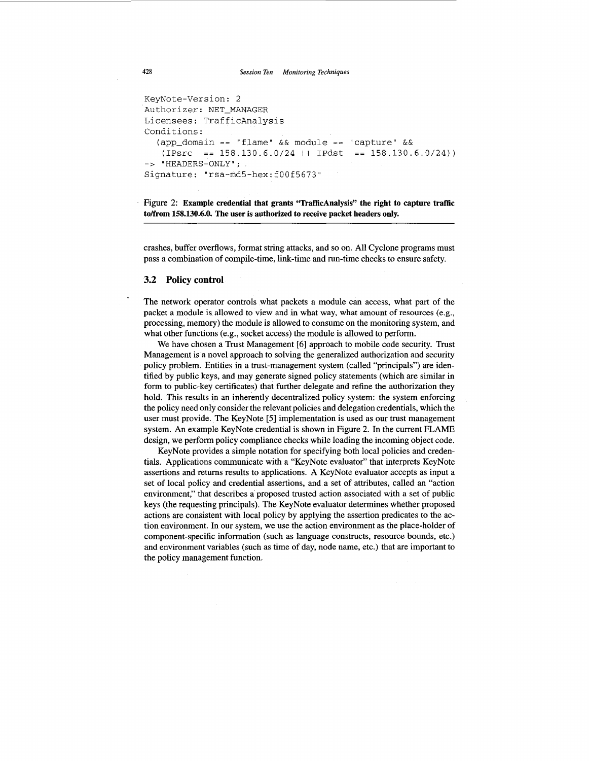```
KeyNote-Version: 2 
Authorizer: NET-MANAGER 
Licensees: TrafficAnalysis 
Conditions: 
  (app-domain == "flame" && module == "capture" && 
   (IPsrc = 158.130.6.0/24 || IPdst = 158.130.6.0/24)\Rightarrow "HEADERS-ONLY";
Signature: "rsa-md5-hex:fOOf5673"
```
Figure **2: Example credential that grants "TrafficAnalysis" the right to capture traffic to/from 158.130.6.0. The user is authorized to receive packet headers only.** 

crashes, buffer overflows, format string attacks, and so on. All Cyclone programs must pass a combination of compile-time, link-time and run-time checks to ensure safety.

#### **3.2 Policy control**

The network operator controls what packets a module can access, what part of the packet a module is allowed to view and in what way, what amount of resources (e.g., processing, memory) the module is allowed to consume on the monitoring system, and what other functions (e.g., socket access) the module is allowed to perform.

We have chosen a Trust Management *[6]* approach to mobile code security. Trust Management is a novel approach to solving the generalized authorization and security policy problem. Entities in a trust-management system (called "principals") are identified by public keys, and may generate signed policy statements (which are similar in form to public-key certificates) that further delegate and refine the authorization they hold. This results in an inherently decentralized policy system: the system enforcing the policy need only consider the relevant policies and delegation credentials, which the user must provide. The KeyNote [5] implementation is used as our trust management system. An example KeyNote credential is shown in Figure *2.* In the current FLAME design, we perform policy compliance checks while loading the incoming object code.

KeyNote provides a simple notation for specifying both local policies and credentials. Applications communicate with a "KeyNote evaluator" that interprets KeyNote assertions and returns results to applications. A KeyNote evaluator accepts as input **a**  set of local policy and credential assertions, and a set of attributes, called an "action environment,'' that describes a proposed trusted action associated with a set of public keys (the requesting principals). The KeyNote evaluator determines whether proposed actions are consistent with local policy by applying the assertion predicates to the action environment. In our system, we use the action environment as the place-holder of component-specific information (such as language constructs, resource bounds, etc.) and environment variables (such as time of day, node name, etc.) that are important to the policy management function.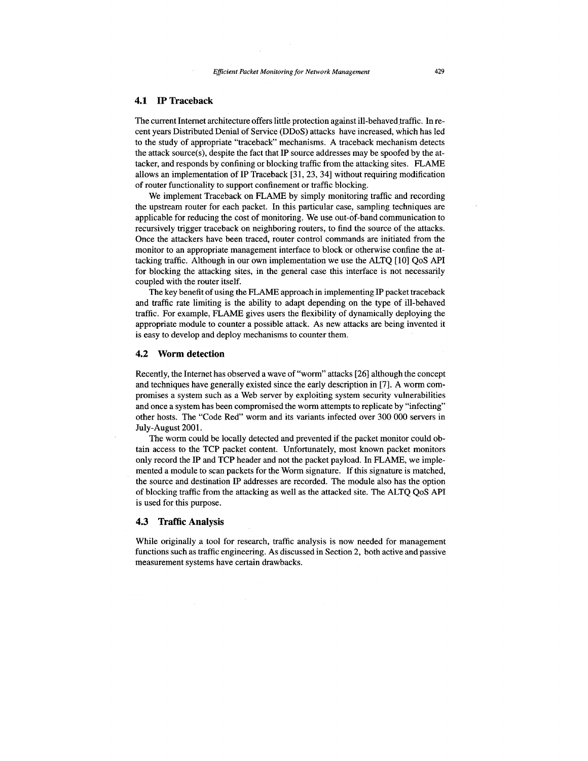#### **4.1 IP Traceback**

The current Internet architecture offers little protection against ill-behaved traffic. In recent years Distributed Denial of Service (DDoS) attacks have increased, which has led to the study of appropriate "traceback" mechanisms. A traceback mechanism detects the attack source $(s)$ , despite the fact that IP source addresses may be spoofed by the attacker, and responds by confining or blocking traffic from the attacking sites. FLAME allows an implementation of IP Traceback [31,23, 341 without requiring modification of router functionality to support confinement or traffic blocking.

We implement Traceback on FLAME by simply monitoring traffic and recording the upstream router for each packet. In this particular case, sampling techniques are applicable for reducing the cost of monitoring. We use out-of-band communication to recursively trigger traceback on neighboring routers, to find the source of the attacks. Once the attackers have been traced, router control commands are initiated from the monitor to an appropriate management interface to block or otherwise confine the attacking traffic. Although in our own implementation we use the ALTQ [lo] QoS API for blocking the attacking sites, in the general case this interface is not necessarily coupled with the router itself.

The key benefit **of** using the FLAME approach in implementing IP packet traceback and traffic rate limiting is the ability to adapt depending on the type of ill-behaved traffic. For example, FLAME gives users the flexibility of dynamically deploying the appropriate module to counter a possible attack. As new attacks are being invented it is easy to develop and deploy mechanisms to counter them.

#### **4.2 Worm detection**

Recently, the Internet has observed a wave of "worm" attacks [26] although **the** concept and techniques have generally existed since the early description in [7]. A worm compromises a system such as a Web server by exploiting system security vulnerabilities and once a system has been compromised the worm attempts to replicate by "infecting" other hosts. The "Code Red" worm and its variants infected over 300 000 servers in July-August 2001.

The worm could be locally detected and prevented if the packet monitor could obtain access to the TCP packet content. Unfortunately, most known packet monitors only record the IP and TCP header and not the packet payload. In FLAME, we implemented a module to scan packets for the Worm signature. If this signature is matched, the source and destination IP addresses are recorded. The module also has the option of blocking traffic from the attacking as well as the attacked site. The ALTQ QoS API is used for this purpose.

#### **4.3 Traffic Analysis**

While originally a tool for research, traffic analysis is now needed for management functions such as traffic engineering. As discussed in Section 2, both active and passive measurement systems have certain drawbacks.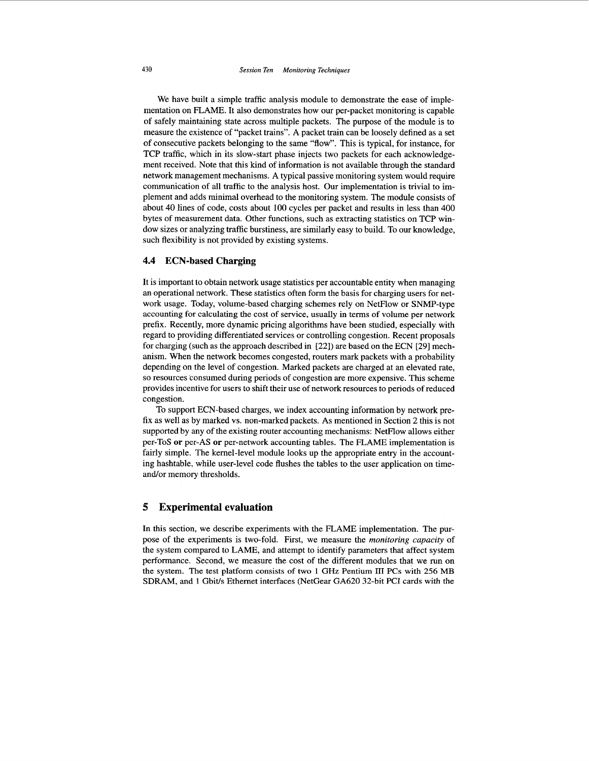We have built a simple traffic analysis module to demonstrate the ease of implementation on FLAME. It also demonstrates how our per-packet monitoring is capable of safely maintaining state across multiple packets. The purpose of the module is to measure the existence of "packet trains". A packet train can be loosely defined as a set of consecutive packets belonging to the same "flow". This is typical, for instance, for TCP traffic, which in its slow-start phase injects two packets for each acknowledgement received. Note that this kind of information is not available through the standard network management mechanisms. A typical passive monitoring system would require communication of all traffic to the analysis host. Our implementation is trivial to implement and adds minimal overhead to the monitoring system. The module consists of about 40 lines of code, costs about 100 cycles per packet and results in less than 400 bytes of measurement data. Other functions, such as extracting statistics on TCP window sizes or analyzing traffic burstiness, are similarly easy to build. To our knowledge, such flexibility is not provided by existing systems.

#### **4.4 ECN-based Charging**

It is important to obtain network usage statistics per accountable entity when managing an operational network. These statistics often form the basis for charging users for network usage. Today, volume-based charging schemes rely on NetFlow or SNMP-type accounting for calculating the cost of service, usually in terms of volume per network prefix. Recently, more dynamic pricing algorithms have been studied, especially with regard to providing differentiated services or controlling congestion. Recent proposals for charging (such as the approach described in [22]) are based on the ECN [29] mechanism. When the network becomes congested, routers mark packets with a probability depending on the level of congestion. Marked packets are charged at an elevated rate, so resources consumed during periods of congestion are more expensive. This scheme provides incentive for users to shift their use of network resources to periods of reduced congestion.

To support ECN-based charges, we index accounting information by network prefix as well as by marked **vs.** non-marked packets. **As** mentioned in Section **2** this is not supported by any of the existing router accounting mechanisms: NetFlow allows either per-ToS **or** per-AS **or** per-network accounting tables. The FLAME implementation is fairly simple. The kernel-level module looks up the appropriate entry in the accounting hashtable, while user-level code flushes the tables to the user application on timeand/or memory thresholds.

#### **5 Experimental evaluation**

In this section, we describe experiments with the FLAME implementation. The purpose of the experiments is two-fold. First, we measure the *monitoring capacity* **of**  the system compared to LAME, and attempt to identify parameters that affect system performance. Second, we measure the cost of the different modules that we run on the system. The test platform consists of two 1 GHz Pentium **I11** PCs with 256 MB SDRAM, and **1.** Gbit/s Ethernet interfaces (NetGear GA620 32-bit PCI cards with the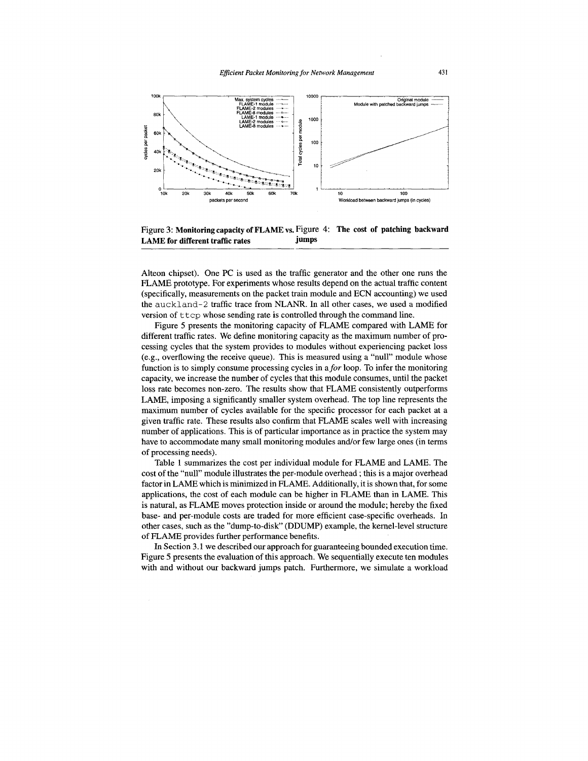

Figure **3: Monitoring capacity of FLAME vs.** Figure **4: The cost of patching backward LAME** for different traffic rates

Alteon chipset). One PC is used as the traffic generator and the other one runs the FLAME prototype. For experiments whose results depend on the actual traffic content (specifically, measurements on the packet train module and ECN accounting) we used the auckland-2 traffic trace from NLANR. In all other cases, we used a modified version of t tcp whose sending rate **is** controlled through the command line.

Figure 5 presents the monitoring capacity of FLAME compared with LAME for different traffic rates. We define monitoring capacity as the maximum number of processing cycles that the system provides to modules without experiencing packet loss (e.g., overflowing the receive queue). This is measured using a "null" module whose function is to simply consume processing cycles in a for loop. To infer the monitoring capacity, we increase the number of cycles that this module consumes, until the packet loss rate becomes non-zero. The results show that FLAME consistently outperforms LAME, imposing a significantly smaller system overhead. The top line represents the maximum number of cycles available for the specific processor for each packet at a given traffic rate. These results also confirm that FLAME scales well with increasing number of applications. This is of particular importance as in practice the system may have to accommodate many small monitoring modules and/or few large ones (in terms of processing needs).

[Table](#page-11-0) **1** summarizes the cost per individual module for FLAME and LAME. The cost of the "null" module illustrates the per-module overhead ; this **is** a major overhead factor in LAME which is minimized in FLAME. Additionally, it is shown that, for some applications, the cost of each module can be higher in FLAME than in LAME. This is natural, as FLAME moves protection inside or around the module; hereby the fixed base- and per-module costs are traded for more efficient case-specific overheads. In other cases, such as the "dump-to-disk" (DDUMP) example, the kernel-level structure of FLAME provides further performance benefits.

In Section **3.1** we described our approach for guaranteeing bounded execution time. Figure 5 presents the evaluation of this approach. We sequentially execute ten modules with and without our backward jumps patch. Furthermore, we simulate a workload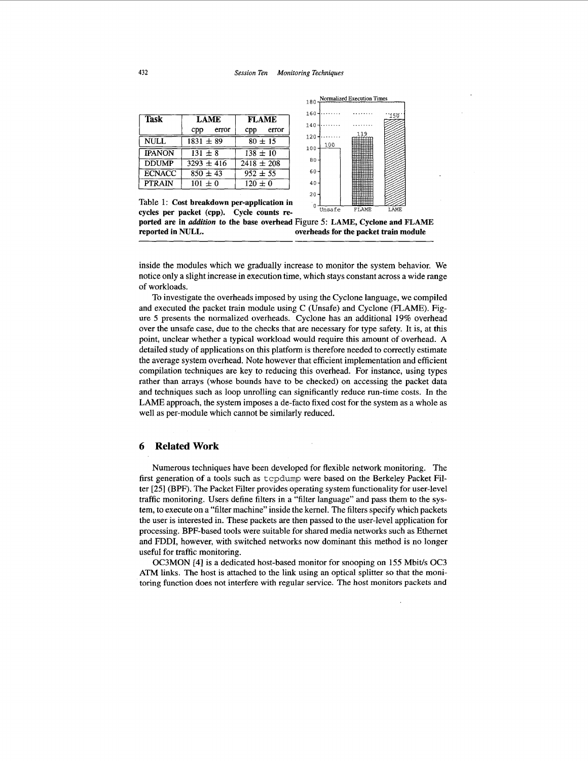<span id="page-11-0"></span>

| <b>Task</b>   | <b>LAME</b>    |       | <b>FLAME</b>   |       |
|---------------|----------------|-------|----------------|-------|
|               | $_{\rm cpp}$   | error | $_{\rm cpp}$   | error |
| NULL          | $1831 \pm 89$  |       | $80 \pm 15$    |       |
| <b>IPANON</b> | $131 \pm 8$    |       | $138 \pm 10$   |       |
| <b>DDUMP</b>  | $3293 \pm 416$ |       | $2418 \pm 208$ |       |
| <b>ECNACC</b> | $850 \pm 43$   |       | $952 \pm 55$   |       |
| <b>PTRAIN</b> | $101 + 0$      |       | $120 \pm 0$    |       |



Table 1: Cost breakdown per-application in **cycles per packet (cpp). Cycle counts re-** 

**ported are in** *addition* **to the base overhead** Figure **5: LAME, Cyclone and FLAME reported in NULL. overheads for the packet train module** 

inside the modules which we gradually increase to monitor the system behavior. We notice only a slight increase in execution time, which stays constant across a wide range of workloads.

To investigate the overheads imposed by using the Cyclone language, we compiled and executed the packet train module using C (Unsafe) and Cyclone (FLAME). Figure 5 presents **the** normalized overheads. Cyclone has an additional 19% overhead over the unsafe case, due to the checks that are necessary for type safety. It is, at this point, unclear whether a typical workload would require this amount of overhead. A detailed study of applications on this platform is therefore needed to correctly estimate the average system overhead. Note however that efficient implementation and efficient compilation techniques are key to reducing this overhead. For instance, using types rather than arrays (whose bounds have to be checked) on accessing the packet data and techniques such as loop unrolling can significantly reduce run-time costs. In the LAME approach, the system imposes a de-facto fixed cost for the system as a whole as well as per-module which cannot be similarly reduced.

#### **6 Related Work**

Numerous techniques have been developed for flexible network monitoring. The first generation **of** a tools such as tcpdump were based on the Berkeley Packet Filter [25] (BPF). The Packet Filter provides operating system functionality for user-level traffic monitoring. Users define filters in a "filter language" and pass them to the system, to execute on a "filter machine" inside the kernel. The filters specify which packets the user is interested in. These packets are then passed to the user-level application for processing. BPF-based tools were suitable for shared media networks such as Ethernet and FDDI, however, with switched networks now dominant this method is no longer useful for traffic monitoring.

OC3MON **[4J** is a dedicated host-based monitor for snooping on 155 Mbit/s OC3 ATM links. The host is attached to the link using an optical splitter so that the monitoring function does not interfere with regular service. **The** host monitors packets and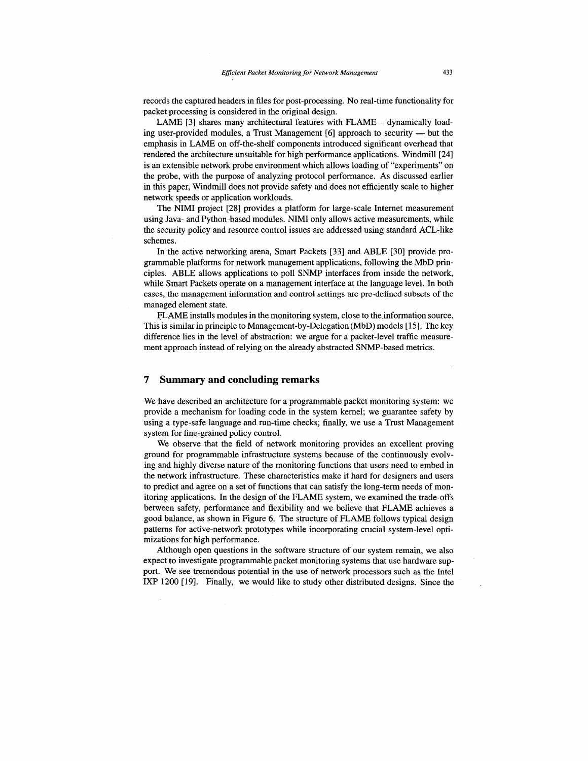records the captured headers in files for post-processing. No real-time functionality for packet processing is considered in the original design.

LAME 131 shares many architectural features with FLAME - dynamically loading user-provided modules, a Trust Management  $[6]$  approach to security  $-$  but the emphasis in LAME on off-the-shelf components introduced significant overhead that rendered the architecture unsuitable for high performance applications. Windmill [24] is an extensible network probe environment which allows loading of "experiments" on the probe, with the purpose of analyzing protocol performance. As discussed earlier in this paper, Windmill does not provide safety and does not efficiently scale to higher network speeds or application workloads.

The NIMI project [28] provides a platform for large-scale Internet measurement using Java- and Python-based modules. NIMI only allows active measurements, while the security policy and resource control issues are addressed using standard ACL-like schemes.

In the active networking arena, Smart Packets [33] and ABLE [30] provide programmable platforms for network management applications, following the MbD principles. ABLE allows applications to poll SNMP interfaces from inside the network, while Smart Packets operate on a management interface at the language level. In both cases, the management information and control settings are pre-defined subsets of the managed element state.

FLAME installs modules in the monitoring system, close to the information source. This is similar in principle to Management-by-Delegation (MbD) models [ 151. The key difference lies in the level of abstraction: we argue for a packet-level traffic measurement approach instead of relying on the already abstracted SNMP-based metrics.

#### **7 Summary and concluding remarks**

We have described an architecture for a programmable packet monitoring system: we provide a mechanism for loading code in the system kernel; we guarantee safety by using a type-safe language and run-time checks; finally, we use a Trust Management system for fine-grained policy control.

We observe that the field of network monitoring provides an excellent proving ground for programmable infrastructure systems because of the continuously evolving and highly diverse nature of the monitoring functions that users need to embed in the network infrastructure. These characteristics make it hard for designers and users to predict and agree on a set of functions that can satisfy the long-term needs of monitoring applications. In the design of the FLAME system, we examined the trade-offs between safety, performance and flexibility and we believe that FLAME achieves a good balance, as shown in Figure 6. The structure of FLAME follows typical design patterns for active-network prototypes while incorporating crucial system-level optimizations for high performance.

Although open questions in the software structure of our system remain, we also expect to investigate programmable packet monitoring systems that use hardware support. We see tremendous potential in the use of network processors such as the Intel IXP 1200 [19]. Finally, we would like to study other distributed designs. Since the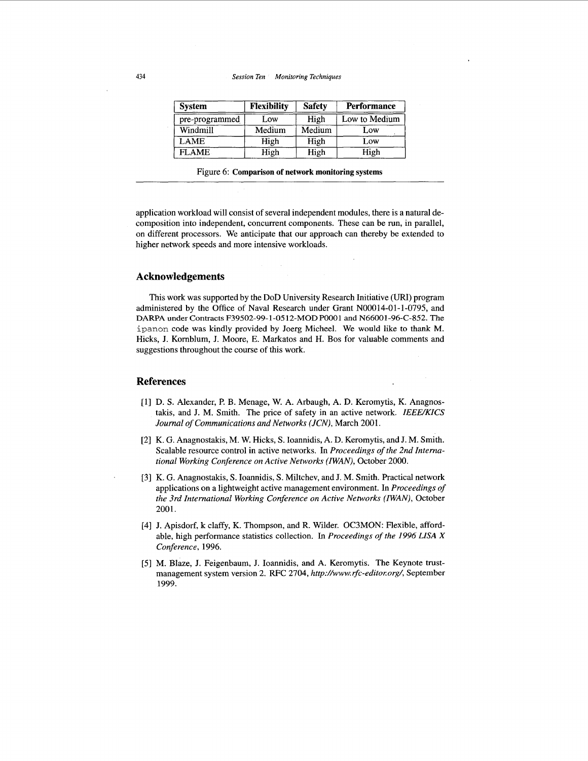| <b>System</b>  | <b>Flexibility</b>       | <b>Safety</b> | Performance   |
|----------------|--------------------------|---------------|---------------|
| pre-programmed | Low                      | High          | Low to Medium |
| Windmill       | Medium                   | Medium        | Low           |
| <b>LAME</b>    | High                     | High          | Low           |
| FLAME.         | $\overline{\text{High}}$ | High          | High          |

Figure 6: **Comparison of network monitoring systems** 

application workload will consist of several independent modules, there is a natural decomposition into independent, concurrent components. These can be run, in parallel, on different processors. We anticipate that our approach can thereby be extended to higher network speeds and more intensive workloads.

#### **Acknowledgements**

This work was supported by the DoD University Research Initiative (URI) program administered by the Office of Naval Research under Grant N00014-01-1-0795, and DARPA under Contracts F39502-99-1-0512-MOD PO001 and N66001-96-C-852. The ipanon code was kindly provided by Joerg Micheel. We would like to thank M. Hicks, J. Komblum, J. Moore, E. Markatos and H. Bos for valuable comments and suggestions throughout the course of this work.

#### **References**

- [l] D. **S.** Alexander, P. **B.** Menage, W. A. Arbaugh, A. D. Keromytis, K. Anagnostakis, and J. M. Smith. The price of safety in an active network. *IEEE/KICS Joumal* of *Communications and Networks (JCN),* March 2001.
- [2] K. *G.* Anagnostakis, M. W. Hicks, **S.** Ioannidis, A. D. Keromytis, and J. M. Smith. Scalable resource control in active networks. In *Proceedings of the 2nd Intemational Working Conference on Active Networks (TWAN),* October 2000.
- [3] K. G. Anagnostakis, **S.** Ioannidis, **S.** Miltchev, and J. M. Smith. Practical network applications on a lightweight active management environment. In *Proceedings of the 3rd Intemational Working Conference on Active Networks (TWAN),* October 2001.
- [4] J. Apisdorf, **k** claffy, K. Thompson, and R. Wilder. OC3MON: Flexible, affordable, high performance statistics collection. In *Proceedings of the 1996 LISA X Conference,* 1996.
- [5] M. Blaze, J. Feigenbaum, J. Ioannidis, and **A.** Keromytis. The Keynote trustmanagement system version 2. RFC 2704, *[http://www.rfc-editozorg/](http://www.rfc-editozorg),* September **1999.**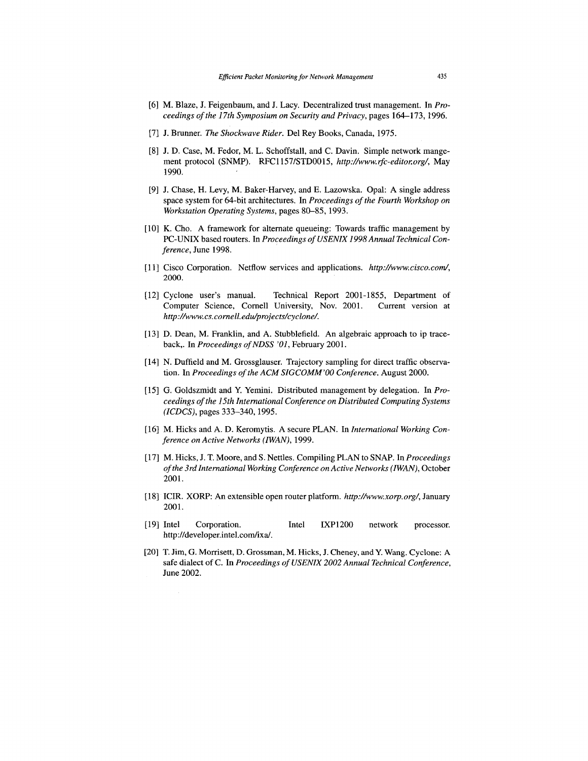- [6] M. Blaze, J. Feigenbaum, and J. Lacy. Decentralized trust management. In *Proceedings of the 17th Symposium on Security and Privacy,* pages 164-173, 1996.
- [7] J. Brunner. *The Shockwave Rider.* Del Rey Books, Canada, 1975.
- [8] J. D. Case, M. Fedor, M. L. Schoffstall, and C. Davin. Simple network mangement protocol (SNMP). RFC1157/STD0015, *[http://www.](http://www)rfc-editor.org/*, May 1990.
- [9] J. Chase, H. Levy, M. Baker-Harvey, and E. Lazowska. Opal: A single address space system for 64-bit architectures. In *Proceedings of the Fourth Workshop on Workstation Operating Systems,* pages *80-85,* 1993.
- [10] K. Cho. A framework for alternate queueing: Towards traffic management by PC-UNIX based routers. In *Proceedings of USENIX 1998 Annual Technical Conference,* June 1998.
- [ 111 Cisco Corporation. Netflow services and applications. *[http://www.cisco.com/,](http://www.cisco.com) 2000.*
- [ 121 Cyclone user's manual. Technical Report 2001-1855, Department of Computer Science, Cornell University, Nov. 2001. Current version at *[http://www.cs.comell.edu/projects/cyclone/](http://www.cs.comell.edu/projects/cyclone).*
- [13] D. Dean, M. Franklin, and A. Stubblefield. **An** algebraic approach to ip traceback,. In *Proceedings of NDSS '01,* February 2001.
- [14] N. Duffield and M. Grossglauser. Trajectory sampling for direct traffic observation. In *Proceedings of the ACM SIGCOMM'OO Conference.* August 2000.
- [ 151 G. Goldszmidt and Y. Yemini. Distributed management by delegation. In *Proceedings of the 15th Intemational Conference on Distributed Computing Systems (ICDCS),* pages 333-340,1995.
- [16] M. Hicks and A. D. Keromytis. A secure PLAN. In *International Working Conference on Active Networks (NAN),* 1999.
- [17] M. Hicks, J. T. Moore, and **S.** Nettles. Compiling PLAN to SNAP. In *Proceedings*  of *the 3rd International Working Conference on Active Networks (NAN),* October 2001.
- [ 181 ICIR. XORP: An extensible open router platform. *[http://www.xorp.org/,](http://www.xorp.org)* January 2001.
- [19] Intel Corporation. Intel IXP1200 network processor. **[http://developer.intel.com/ixa/](http://developer.intel.com/ixa).**
- [20] T. Jim, **G.** Morrisett, D. Grossman, M. Hicks, J. Cheney, and **Y.** Wang. Cyclone: **A**  safe dialect of C. In *Proceedings of USENIX 2002 Annual Technical Conference,*  June 2002.